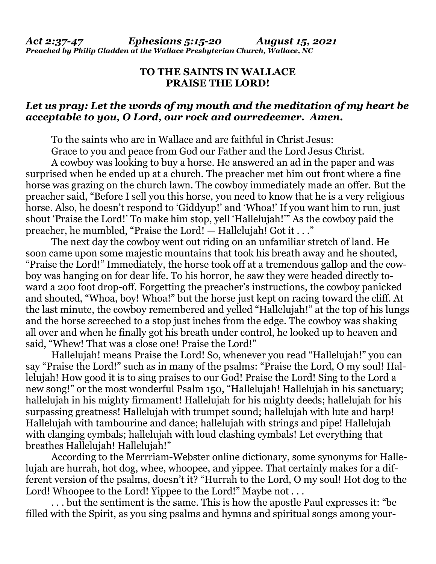## **TO THE SAINTS IN WALLACE PRAISE THE LORD!**

## *Let us pray: Let the words of my mouth and the meditation of my heart be acceptable to you, O Lord, our rock and ourredeemer. Amen.*

To the saints who are in Wallace and are faithful in Christ Jesus:

Grace to you and peace from God our Father and the Lord Jesus Christ.

 A cowboy was looking to buy a horse. He answered an ad in the paper and was surprised when he ended up at a church. The preacher met him out front where a fine horse was grazing on the church lawn. The cowboy immediately made an offer. But the preacher said, "Before I sell you this horse, you need to know that he is a very religious horse. Also, he doesn't respond to 'Giddyup!' and 'Whoa!' If you want him to run, just shout 'Praise the Lord!' To make him stop, yell 'Hallelujah!'" As the cowboy paid the preacher, he mumbled, "Praise the Lord! — Hallelujah! Got it . . ."

 The next day the cowboy went out riding on an unfamiliar stretch of land. He soon came upon some majestic mountains that took his breath away and he shouted, "Praise the Lord!" Immediately, the horse took off at a tremendous gallop and the cowboy was hanging on for dear life. To his horror, he saw they were headed directly toward a 200 foot drop-off. Forgetting the preacher's instructions, the cowboy panicked and shouted, "Whoa, boy! Whoa!" but the horse just kept on racing toward the cliff. At the last minute, the cowboy remembered and yelled "Hallelujah!" at the top of his lungs and the horse screeched to a stop just inches from the edge. The cowboy was shaking all over and when he finally got his breath under control, he looked up to heaven and said, "Whew! That was a close one! Praise the Lord!"

 Hallelujah! means Praise the Lord! So, whenever you read "Hallelujah!" you can say "Praise the Lord!" such as in many of the psalms: "Praise the Lord, O my soul! Hallelujah! How good it is to sing praises to our God! Praise the Lord! Sing to the Lord a new song!" or the most wonderful Psalm 150, "Hallelujah! Hallelujah in his sanctuary; hallelujah in his mighty firmament! Hallelujah for his mighty deeds; hallelujah for his surpassing greatness! Hallelujah with trumpet sound; hallelujah with lute and harp! Hallelujah with tambourine and dance; hallelujah with strings and pipe! Hallelujah with clanging cymbals; hallelujah with loud clashing cymbals! Let everything that breathes Hallelujah! Hallelujah!"

 According to the Merrriam-Webster online dictionary, some synonyms for Hallelujah are hurrah, hot dog, whee, whoopee, and yippee. That certainly makes for a different version of the psalms, doesn't it? "Hurrah to the Lord, O my soul! Hot dog to the Lord! Whoopee to the Lord! Yippee to the Lord!" Maybe not . . .

 . . . but the sentiment is the same. This is how the apostle Paul expresses it: "be filled with the Spirit, as you sing psalms and hymns and spiritual songs among your-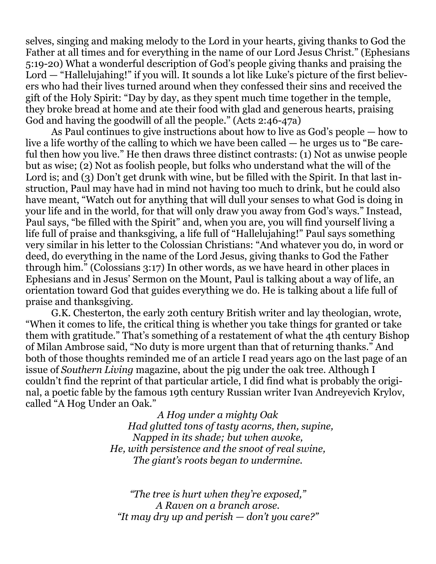selves, singing and making melody to the Lord in your hearts, giving thanks to God the Father at all times and for everything in the name of our Lord Jesus Christ." (Ephesians 5:19-20) What a wonderful description of God's people giving thanks and praising the Lord — "Hallelujahing!" if you will. It sounds a lot like Luke's picture of the first believers who had their lives turned around when they confessed their sins and received the gift of the Holy Spirit: "Day by day, as they spent much time together in the temple, they broke bread at home and ate their food with glad and generous hearts, praising God and having the goodwill of all the people." (Acts 2:46-47a)

 As Paul continues to give instructions about how to live as God's people — how to live a life worthy of the calling to which we have been called — he urges us to "Be careful then how you live." He then draws three distinct contrasts: (1) Not as unwise people but as wise; (2) Not as foolish people, but folks who understand what the will of the Lord is; and (3) Don't get drunk with wine, but be filled with the Spirit. In that last instruction, Paul may have had in mind not having too much to drink, but he could also have meant, "Watch out for anything that will dull your senses to what God is doing in your life and in the world, for that will only draw you away from God's ways." Instead, Paul says, "be filled with the Spirit" and, when you are, you will find yourself living a life full of praise and thanksgiving, a life full of "Hallelujahing!" Paul says something very similar in his letter to the Colossian Christians: "And whatever you do, in word or deed, do everything in the name of the Lord Jesus, giving thanks to God the Father through him." (Colossians 3:17) In other words, as we have heard in other places in Ephesians and in Jesus' Sermon on the Mount, Paul is talking about a way of life, an orientation toward God that guides everything we do. He is talking about a life full of praise and thanksgiving.

 G.K. Chesterton, the early 20th century British writer and lay theologian, wrote, "When it comes to life, the critical thing is whether you take things for granted or take them with gratitude." That's something of a restatement of what the 4th century Bishop of Milan Ambrose said, "No duty is more urgent than that of returning thanks." And both of those thoughts reminded me of an article I read years ago on the last page of an issue of *Southern Living* magazine, about the pig under the oak tree. Although I couldn't find the reprint of that particular article, I did find what is probably the original, a poetic fable by the famous 19th century Russian writer Ivan Andreyevich Krylov, called "A Hog Under an Oak."

> *A Hog under a mighty Oak Had glutted tons of tasty acorns, then, supine, Napped in its shade; but when awoke, He, with persistence and the snoot of real swine, The giant's roots began to undermine.*

*"The tree is hurt when they're exposed," A Raven on a branch arose. "It may dry up and perish — don't you care?"*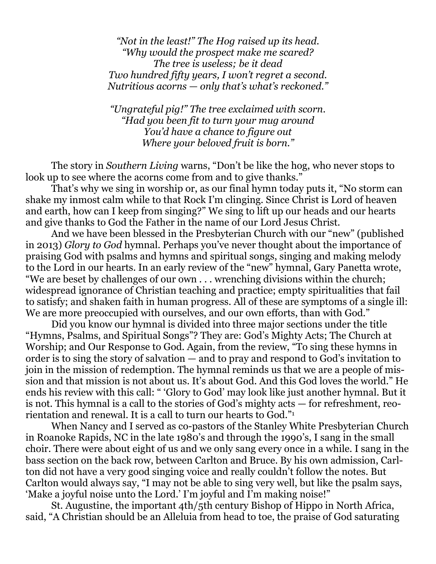*"Not in the least!" The Hog raised up its head. "Why would the prospect make me scared? The tree is useless; be it dead Two hundred fifty years, I won't regret a second. Nutritious acorns — only that's what's reckoned."* 

*"Ungrateful pig!" The tree exclaimed with scorn. "Had you been fit to turn your mug around You'd have a chance to figure out Where your beloved fruit is born."* 

 The story in *Southern Living* warns, "Don't be like the hog, who never stops to look up to see where the acorns come from and to give thanks."

 That's why we sing in worship or, as our final hymn today puts it, "No storm can shake my inmost calm while to that Rock I'm clinging. Since Christ is Lord of heaven and earth, how can I keep from singing?" We sing to lift up our heads and our hearts and give thanks to God the Father in the name of our Lord Jesus Christ.

 And we have been blessed in the Presbyterian Church with our "new" (published in 2013) *Glory to God* hymnal. Perhaps you've never thought about the importance of praising God with psalms and hymns and spiritual songs, singing and making melody to the Lord in our hearts. In an early review of the "new" hymnal, Gary Panetta wrote, "We are beset by challenges of our own . . . wrenching divisions within the church; widespread ignorance of Christian teaching and practice; empty spiritualities that fail to satisfy; and shaken faith in human progress. All of these are symptoms of a single ill: We are more preoccupied with ourselves, and our own efforts, than with God."

 Did you know our hymnal is divided into three major sections under the title "Hymns, Psalms, and Spiritual Songs"? They are: God's Mighty Acts; The Church at Worship; and Our Response to God. Again, from the review, "To sing these hymns in order is to sing the story of salvation — and to pray and respond to God's invitation to join in the mission of redemption. The hymnal reminds us that we are a people of mission and that mission is not about us. It's about God. And this God loves the world." He ends his review with this call: " 'Glory to God' may look like just another hymnal. But it is not. This hymnal is a call to the stories of God's mighty acts — for refreshment, reorientation and renewal. It is a call to turn our hearts to God."<sup>1</sup>

 When Nancy and I served as co-pastors of the Stanley White Presbyterian Church in Roanoke Rapids, NC in the late 1980's and through the 1990's, I sang in the small choir. There were about eight of us and we only sang every once in a while. I sang in the bass section on the back row, between Carlton and Bruce. By his own admission, Carlton did not have a very good singing voice and really couldn't follow the notes. But Carlton would always say, "I may not be able to sing very well, but like the psalm says, 'Make a joyful noise unto the Lord.' I'm joyful and I'm making noise!"

 St. Augustine, the important 4th/5th century Bishop of Hippo in North Africa, said, "A Christian should be an Alleluia from head to toe, the praise of God saturating